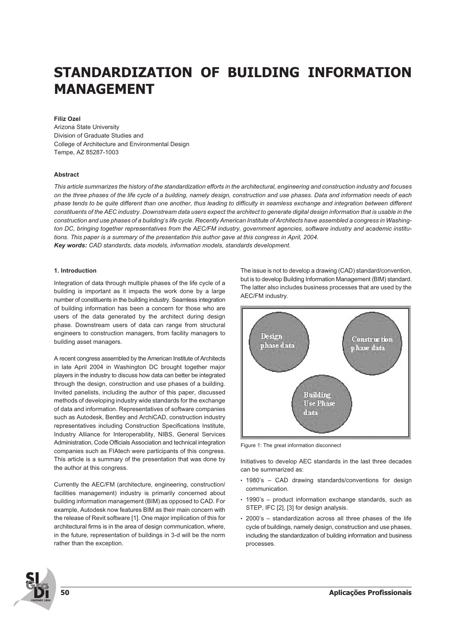# **STANDARDIZATION OF BUILDING INFORMATION MANAGEMENT**

# **Filiz Ozel**

Arizona State University Division of Graduate Studies and College of Architecture and Environmental Design Tempe, AZ 85287-1003

#### **Abstract**

*This article summarizes the history of the standardization efforts in the architectural, engineering and construction industry and focuses on the three phases of the life cycle of a building, namely design, construction and use phases. Data and information needs of each phase tends to be quite different than one another, thus leading to difficulty in seamless exchange and integration between different constituents of the AEC industry. Downstream data users expect the architect to generate digital design information that is usable in the construction and use phases of a building's life cycle. Recently American Institute of Architects have assembled a congress in Washington DC, bringing together representatives from the AEC/FM industry, government agencies, software industry and academic institutions. This paper is a summary of the presentation this author gave at this congress in April, 2004.* **Key words:** *CAD standards, data models, information models, standards development.*

## **1. Introduction**

Integration of data through multiple phases of the life cycle of a building is important as it impacts the work done by a large number of constituents in the building industry. Seamless integration of building information has been a concern for those who are users of the data generated by the architect during design phase. Downstream users of data can range from structural engineers to construction managers, from facility managers to building asset managers.

A recent congress assembled by the American Institute of Architects in late April 2004 in Washington DC brought together major players in the industry to discuss how data can better be integrated through the design, construction and use phases of a building. Invited panelists, including the author of this paper, discussed methods of developing industry wide standards for the exchange of data and information. Representatives of software companies such as Autodesk, Bentley and ArchiCAD, construction industry representatives including Construction Specifications Institute, Industry Alliance for Interoperability, NIBS, General Services Administration, Code Officials Association and technical integration companies such as FIAtech were participants of this congress. This article is a summary of the presentation that was done by the author at this congress.

Currently the AEC/FM (architecture, engineering, construction/ facilities management) industry is primarily concerned about building information management (BIM) as opposed to CAD. For example, Autodesk now features BIM as their main concern with the release of Revit software [1]. One major implication of this for architectural firms is in the area of design communication, where, in the future, representation of buildings in 3-d will be the norm rather than the exception.

The issue is not to develop a drawing (CAD) standard/convention, but is to develop Building Information Management (BIM) standard. The latter also includes business processes that are used by the AEC/FM industry.



Figure 1: The great information disconnect

Initiatives to develop AEC standards in the last three decades can be summarized as:

- 1980's CAD drawing standards/conventions for design communication.
- 1990's product information exchange standards, such as STEP, IFC [2], [3] for design analysis.
- 2000's standardization across all three phases of the life cycle of buildings, namely design, construction and use phases, including the standardization of building information and business processes.

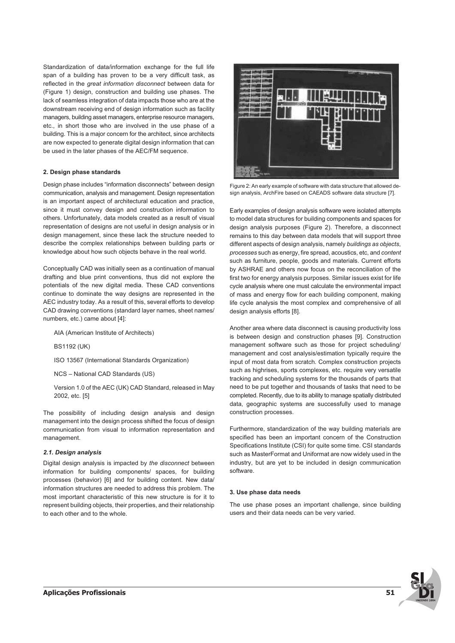Standardization of data/information exchange for the full life span of a building has proven to be a very difficult task, as reflected in the *great information disconnect* between data for (Figure 1) design, construction and building use phases. The lack of seamless integration of data impacts those who are at the downstream receiving end of design information such as facility managers, building asset managers, enterprise resource managers, etc., in short those who are involved in the use phase of a building. This is a major concern for the architect, since architects are now expected to generate digital design information that can be used in the later phases of the AEC/FM sequence.

## **2. Design phase standards**

Design phase includes "information disconnects" between design communication, analysis and management. Design representation is an important aspect of architectural education and practice, since it must convey design and construction information to others. Unfortunately, data models created as a result of visual representation of designs are not useful in design analysis or in design management, since these lack the structure needed to describe the complex relationships between building parts or knowledge about how such objects behave in the real world.

Conceptually CAD was initially seen as a continuation of manual drafting and blue print conventions, thus did not explore the potentials of the new digital media. These CAD conventions continue to dominate the way designs are represented in the AEC industry today. As a result of this, several efforts to develop CAD drawing conventions (standard layer names, sheet names/ numbers, etc.) came about [4]:

AIA (American Institute of Architects)

BS1192 (UK)

ISO 13567 (International Standards Organization)

NCS – National CAD Standards (US)

Version 1.0 of the AEC (UK) CAD Standard, released in May 2002, etc. [5]

The possibility of including design analysis and design management into the design process shifted the focus of design communication from visual to information representation and management.

## **2.1. Design analysis**

Digital design analysis is impacted by *the disconnect* between information for building components/ spaces, for building processes (behavior) [6] and for building content. New data/ information structures are needed to address this problem. The most important characteristic of this new structure is for it to represent building objects, their properties, and their relationship to each other and to the whole.



Figure 2: An early example of software with data structure that allowed design analysis, ArchFire based on CAEADS software data structure [7].

Early examples of design analysis software were isolated attempts to model data structures for building components and spaces for design analysis purposes (Figure 2). Therefore, a disconnect remains to this day between data models that will support three different aspects of design analysis, namely *buildings as objects*, *processes* such as energy, fire spread, acoustics, etc, and *content* such as furniture, people, goods and materials. Current efforts by ASHRAE and others now focus on the reconciliation of the first two for energy analysis purposes. Similar issues exist for life cycle analysis where one must calculate the environmental impact of mass and energy flow for each building component, making life cycle analysis the most complex and comprehensive of all design analysis efforts [8].

Another area where data disconnect is causing productivity loss is between design and construction phases [9]. Construction management software such as those for project scheduling/ management and cost analysis/estimation typically require the input of most data from scratch. Complex construction projects such as highrises, sports complexes, etc. require very versatile tracking and scheduling systems for the thousands of parts that need to be put together and thousands of tasks that need to be completed. Recently, due to its ability to manage spatially distributed data, geographic systems are successfully used to manage construction processes.

Furthermore, standardization of the way building materials are specified has been an important concern of the Construction Specifications Institute (CSI) for quite some time. CSI standards such as MasterFormat and Uniformat are now widely used in the industry, but are yet to be included in design communication software.

#### **3. Use phase data needs**

The use phase poses an important challenge, since building users and their data needs can be very varied.

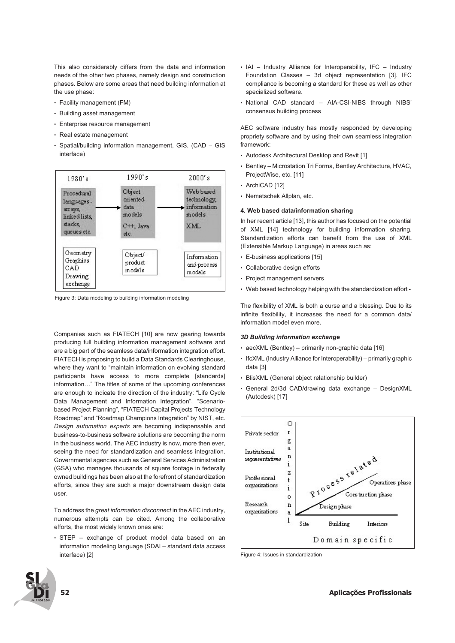This also considerably differs from the data and information needs of the other two phases, namely design and construction phases. Below are some areas that need building information at the use phase:

- Facility management (FM)
- Building asset management
- Enterprise resource management
- Real estate management
- Spatial/building information management, GIS, (CAD GIS interface)



Figure 3: Data modeling to building information modeling

Companies such as FIATECH [10] are now gearing towards producing full building information management software and are a big part of the seamless data/information integration effort. FIATECH is proposing to build a Data Standards Clearinghouse, where they want to "maintain information on evolving standard participants have access to more complete [standards] information…" The titles of some of the upcoming conferences are enough to indicate the direction of the industry: "Life Cycle Data Management and Information Integration", "Scenariobased Project Planning", "FIATECH Capital Projects Technology Roadmap" and "Roadmap Champions Integration" by NIST, etc. *Design automation experts* are becoming indispensable and business-to-business software solutions are becoming the norm in the business world. The AEC industry is now, more then ever, seeing the need for standardization and seamless integration. Governmental agencies such as General Services Administration (GSA) who manages thousands of square footage in federally owned buildings has been also at the forefront of standardization efforts, since they are such a major downstream design data user.

To address the *great information disconnect* in the AEC industry, numerous attempts can be cited. Among the collaborative efforts, the most widely known ones are:

• STEP – exchange of product model data based on an information modeling language (SDAI – standard data access interface) [2]

- IAI Industry Alliance for Interoperability, IFC Industry Foundation Classes – 3d object representation [3]. IFC compliance is becoming a standard for these as well as other specialized software.
- National CAD standard AIA-CSI-NIBS through NIBS' consensus building process

AEC software industry has mostly responded by developing propriety software and by using their own seamless integration framework:

- Autodesk Architectural Desktop and Revit [1]
- Bentley Microstation Tri Forma, Bentley Architecture, HVAC, ProjectWise, etc. [11]
- ArchiCAD [12]
- Nemetschek Allplan, etc.

# **4. Web based data/information sharing**

In her recent article [13], this author has focused on the potential of XML [14] technology for building information sharing. Standardization efforts can benefit from the use of XML (Extensible Markup Language) in areas such as:

- E-business applications [15]
- Collaborative design efforts
- Project management servers
- Web based technology helping with the standardization effort -

The flexibility of XML is both a curse and a blessing. Due to its infinite flexibility, it increases the need for a common data/ information model even more.

# **3D Building information exchange**

- aecXML (Bentley) primarily non-graphic data [16]
- IfcXML (Industry Alliance for Interoperability) primarily graphic data [3]
- BlisXML (General object relationship builder)
- General 2d/3d CAD/drawing data exchange DesignXML (Autodesk) [17]



Figure 4: Issues in standardization